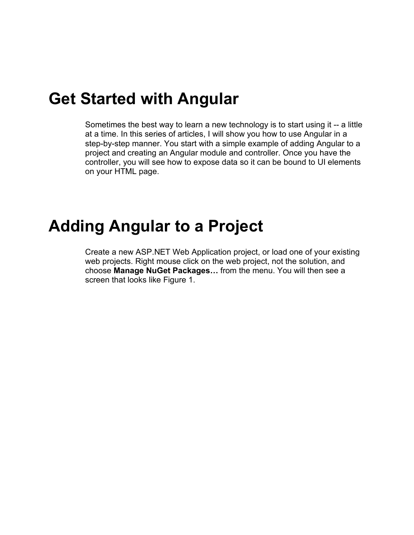### **Get Started with Angular**

Sometimes the best way to learn a new technology is to start using it -- a little at a time. In this series of articles, I will show you how to use Angular in a step-by-step manner. You start with a simple example of adding Angular to a project and creating an Angular module and controller. Once you have the controller, you will see how to expose data so it can be bound to UI elements on your HTML page.

### **Adding Angular to a Project**

Create a new ASP.NET Web Application project, or load one of your existing web projects. Right mouse click on the web project, not the solution, and choose **Manage NuGet Packages…** from the menu. You will then see a screen that looks like Figure 1.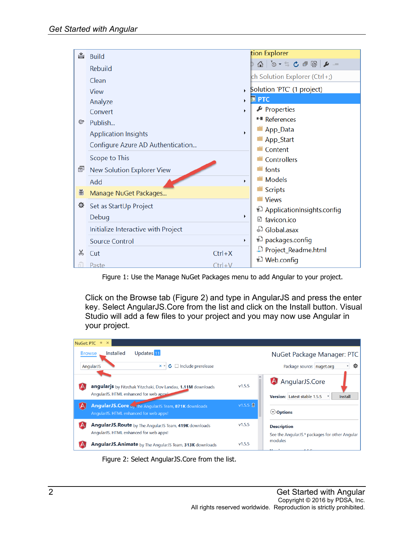

Figure 1: Use the Manage NuGet Packages menu to add Angular to your project.

Click on the Browse tab (Figure 2) and type in AngularJS and press the enter key. Select AngularJS.Core from the list and click on the Install button. Visual Studio will add a few files to your project and you may now use Angular in your project.



Figure 2: Select AngularJS.Core from the list.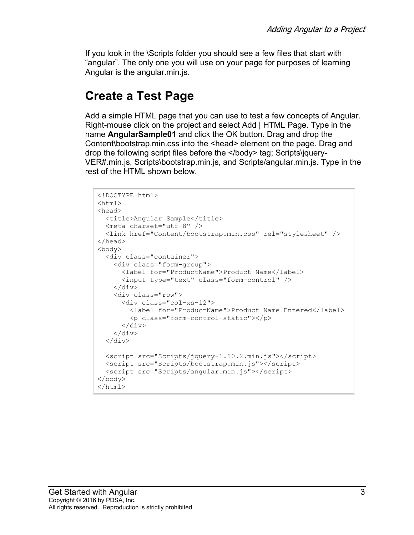If you look in the \Scripts folder you should see a few files that start with "angular". The only one you will use on your page for purposes of learning Angular is the angular.min.js.

#### **Create a Test Page**

Add a simple HTML page that you can use to test a few concepts of Angular. Right-mouse click on the project and select Add | HTML Page. Type in the name **AngularSample01** and click the OK button. Drag and drop the Content\bootstrap.min.css into the <head> element on the page. Drag and drop the following script files before the </body> tag; Scripts\jquery-VER#.min.js, Scripts\bootstrap.min.js, and Scripts/angular.min.js. Type in the rest of the HTML shown below.

```
<!DOCTYPE html>
<html>
<head>
 <title>Angular Sample</title>
   <meta charset="utf-8" />
   <link href="Content/bootstrap.min.css" rel="stylesheet" />
</head>
<body>
   <div class="container">
     <div class="form-group">
       <label for="ProductName">Product Name</label>
       <input type="text" class="form-control" />
    \langle div>
     <div class="row">
       <div class="col-xs-12">
         <label for="ProductName">Product Name Entered</label>
         <p class="form-control-static"></p>
      \langlediv>\langle/div\rangle\langle/div\rangle <script src="Scripts/jquery-1.10.2.min.js"></script>
   <script src="Scripts/bootstrap.min.js"></script>
   <script src="Scripts/angular.min.js"></script>
</body>
</html>
```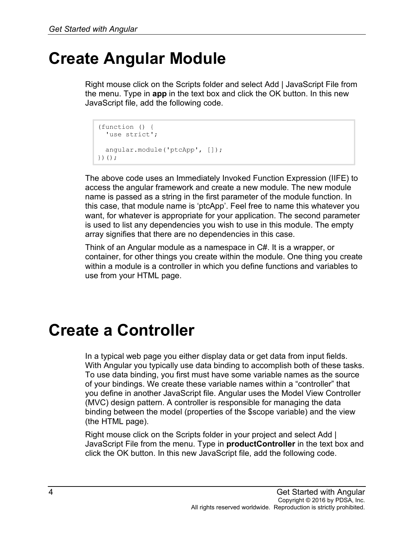## **Create Angular Module**

Right mouse click on the Scripts folder and select Add | JavaScript File from the menu. Type in **app** in the text box and click the OK button. In this new JavaScript file, add the following code.

```
(function () {
 'use strict';
  angular.module('ptcApp', []);
})();
```
The above code uses an Immediately Invoked Function Expression (IIFE) to access the angular framework and create a new module. The new module name is passed as a string in the first parameter of the module function. In this case, that module name is 'ptcApp'. Feel free to name this whatever you want, for whatever is appropriate for your application. The second parameter is used to list any dependencies you wish to use in this module. The empty array signifies that there are no dependencies in this case.

Think of an Angular module as a namespace in C#. It is a wrapper, or container, for other things you create within the module. One thing you create within a module is a controller in which you define functions and variables to use from your HTML page.

## **Create a Controller**

In a typical web page you either display data or get data from input fields. With Angular you typically use data binding to accomplish both of these tasks. To use data binding, you first must have some variable names as the source of your bindings. We create these variable names within a "controller" that you define in another JavaScript file. Angular uses the Model View Controller (MVC) design pattern. A controller is responsible for managing the data binding between the model (properties of the \$scope variable) and the view (the HTML page).

Right mouse click on the Scripts folder in your project and select Add | JavaScript File from the menu. Type in **productController** in the text box and click the OK button. In this new JavaScript file, add the following code.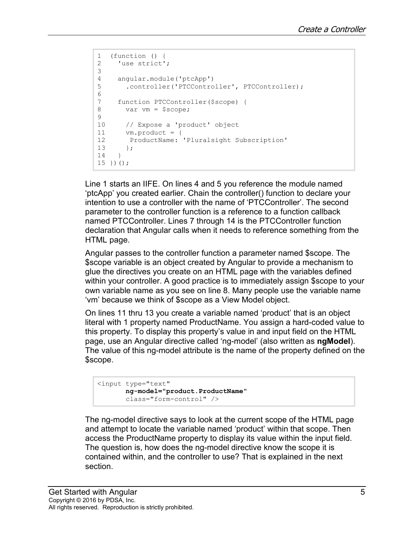```
1 (function () {<br>2 'use strict'
    'use strict';
3 
4 angular.module('ptcApp')<br>5 .controller('PTCContro
       5 .controller('PTCController', PTCController);
6 
7 function PTCController($scope) {<br>8 var vm = $scope;
       var vm = $scope;9<br>10
10 // Expose a 'product' object<br>11 vm product = {
11 vm.product = {<br>12 ProductName:
12 ProductName: 'Pluralsight Subscription'<br>13 }:
13 };
    \uparrow15 })();
```
Line 1 starts an IIFE. On lines 4 and 5 you reference the module named 'ptcApp' you created earlier. Chain the controller() function to declare your intention to use a controller with the name of 'PTCController'. The second parameter to the controller function is a reference to a function callback named PTCController. Lines 7 through 14 is the PTCController function declaration that Angular calls when it needs to reference something from the HTML page.

Angular passes to the controller function a parameter named \$scope. The \$scope variable is an object created by Angular to provide a mechanism to glue the directives you create on an HTML page with the variables defined within your controller. A good practice is to immediately assign \$scope to your own variable name as you see on line 8. Many people use the variable name 'vm' because we think of \$scope as a View Model object.

On lines 11 thru 13 you create a variable named 'product' that is an object literal with 1 property named ProductName. You assign a hard-coded value to this property. To display this property's value in and input field on the HTML page, use an Angular directive called 'ng-model' (also written as **ngModel**). The value of this ng-model attribute is the name of the property defined on the \$scope.

```
<input type="text" 
        ng-model="product.ProductName" 
        class="form-control" />
```
The ng-model directive says to look at the current scope of the HTML page and attempt to locate the variable named 'product' within that scope. Then access the ProductName property to display its value within the input field. The question is, how does the ng-model directive know the scope it is contained within, and the controller to use? That is explained in the next section.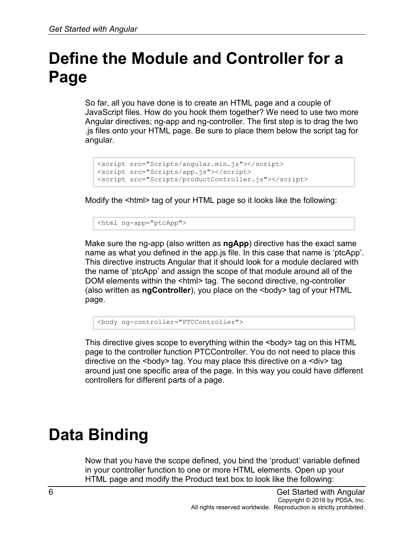# **Define the Module and Controller for a Page**

So far, all you have done is to create an HTML page and a couple of JavaScript files. How do you hook them together? We need to use two more Angular directives; ng-app and ng-controller. The first step is to drag the two .js files onto your HTML page. Be sure to place them below the script tag for angular.

```
<script src="Scripts/angular.min.js"></script>
<script src="Scripts/app.js"></script>
<script src="Scripts/productController.js"></script>
```
Modify the <html> tag of your HTML page so it looks like the following:

<html ng-app="ptcApp">

Make sure the ng-app (also written as **ngApp**) directive has the exact same name as what you defined in the app.js file. In this case that name is 'ptcApp'. This directive instructs Angular that it should look for a module declared with the name of 'ptcApp' and assign the scope of that module around all of the DOM elements within the <html> tag. The second directive, ng-controller (also written as **ngController**), you place on the <body> tag of your HTML page.

<body ng-controller="PTCController">

This directive gives scope to everything within the  $\leq$ body> tag on this HTML page to the controller function PTCController. You do not need to place this directive on the <body> tag. You may place this directive on a <div> tag around just one specific area of the page. In this way you could have different controllers for different parts of a page.

## **Data Binding**

Now that you have the scope defined, you bind the 'product' variable defined in your controller function to one or more HTML elements. Open up your HTML page and modify the Product text box to look like the following: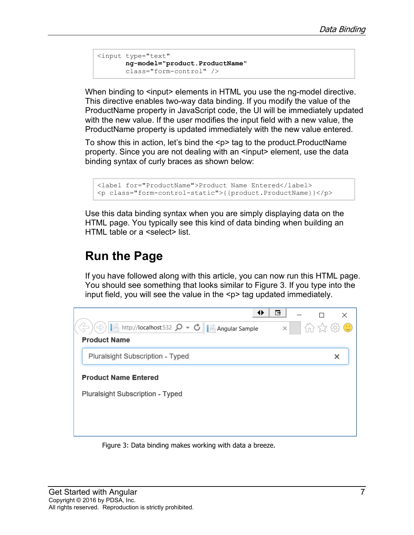```
<input type="text" 
        ng-model="product.ProductName" 
        class="form-control" />
```
When binding to <input> elements in HTML you use the ng-model directive. This directive enables two-way data binding. If you modify the value of the ProductName property in JavaScript code, the UI will be immediately updated with the new value. If the user modifies the input field with a new value, the ProductName property is updated immediately with the new value entered.

To show this in action, let's bind the  $\leq p$  tag to the product. ProductName property. Since you are not dealing with an <input> element, use the data binding syntax of curly braces as shown below:

```
<label for="ProductName">Product Name Entered</label>
<p class="form-control-static">{{product.ProductName}}</p>
```
Use this data binding syntax when you are simply displaying data on the HTML page. You typically see this kind of data binding when building an HTML table or a <select> list.

#### **Run the Page**

If you have followed along with this article, you can now run this HTML page. You should see something that looks similar to Figure 3. If you type into the input field, you will see the value in the <p> tag updated immediately.



Figure 3: Data binding makes working with data a breeze.